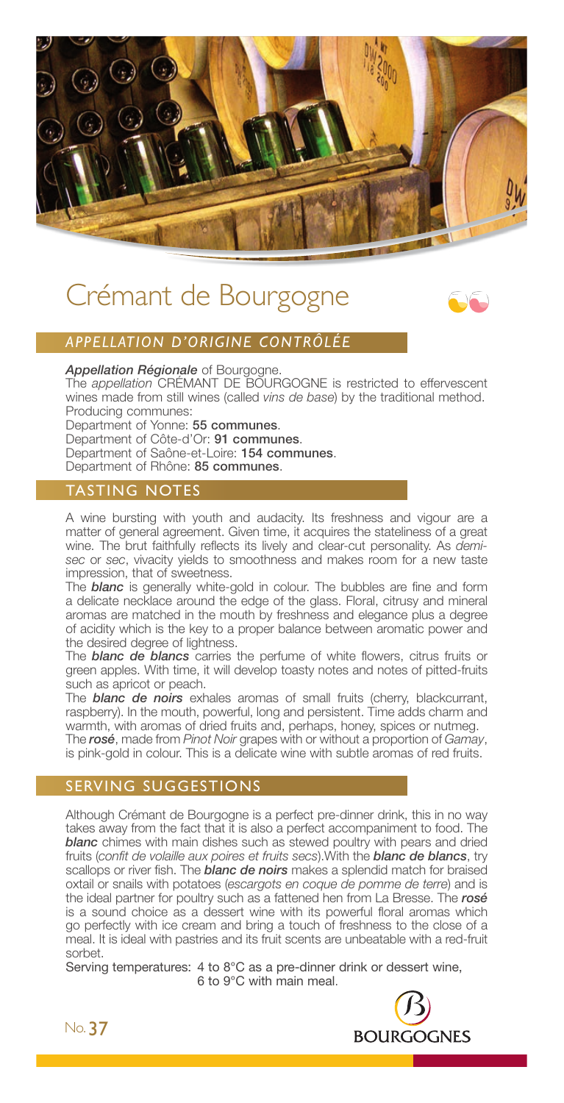

# Crémant de Bourgogne



## *APPELLATION D'ORIGINE CONTRÔLÉE*

*Appellation Régionale* of Bourgogne.

The *appellation* CRÉMANT DE BOURGOGNE is restricted to effervescent wines made from still wines (called *vins de base*) by the traditional method. Producing communes:

Department of Yonne: 55 communes. Department of Côte-d'Or: 91 communes. Department of Saône-et-Loire: 154 communes. Department of Rhône: 85 communes.

## TASTING NOTES

A wine bursting with youth and audacity. Its freshness and vigour are a matter of general agreement. Given time, it acquires the stateliness of a great wine. The brut faithfully reflects its lively and clear-cut personality. As *demisec* or *sec*, vivacity yields to smoothness and makes room for a new taste impression, that of sweetness.

The *blanc* is generally white-gold in colour. The bubbles are fine and form a delicate necklace around the edge of the glass. Floral, citrusy and mineral aromas are matched in the mouth by freshness and elegance plus a degree of acidity which is the key to a proper balance between aromatic power and the desired degree of lightness.

The *blanc de blancs* carries the perfume of white flowers, citrus fruits or green apples. With time, it will develop toasty notes and notes of pitted-fruits such as apricot or peach.

The *blanc de noirs* exhales aromas of small fruits (cherry, blackcurrant, raspberry). In the mouth, powerful, long and persistent. Time adds charm and warmth, with aromas of dried fruits and, perhaps, honey, spices or nutmeg. The *rosé*, made from *Pinot Noir* grapes with or without a proportion of *Gamay*,

is pink-gold in colour. This is a delicate wine with subtle aromas of red fruits.

## SERVING SUGGESTIONS

Although Crémant de Bourgogne is a perfect pre-dinner drink, this in no way takes away from the fact that it is also a perfect accompaniment to food. The *blanc* chimes with main dishes such as stewed poultry with pears and dried fruits (*confit de volaille aux poires et fruits secs*).With the *blanc de blancs*, try scallops or river fish. The *blanc de noirs* makes a splendid match for braised oxtail or snails with potatoes (*escargots en coque de pomme de terre*) and is the ideal partner for poultry such as a fattened hen from La Bresse. The *rosé* is a sound choice as a dessert wine with its powerful floral aromas which go perfectly with ice cream and bring a touch of freshness to the close of a meal. It is ideal with pastries and its fruit scents are unbeatable with a red-fruit sorbet.

Serving temperatures: 4 to 8°C as a pre-dinner drink or dessert wine, 6 to 9°C with main meal.